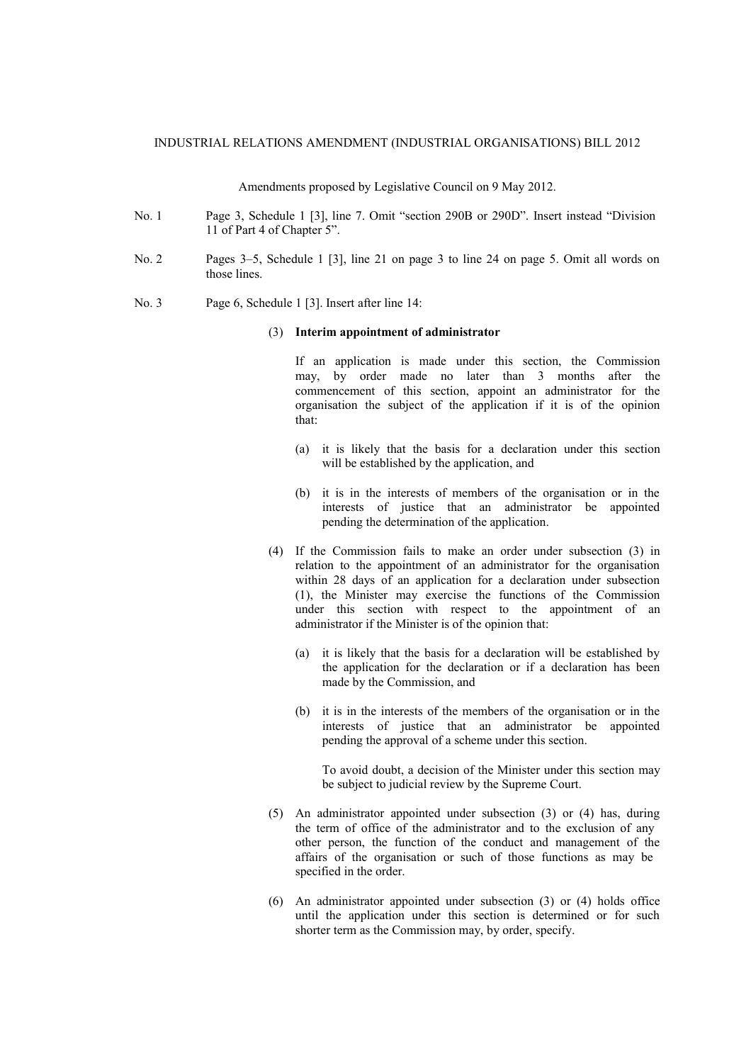## INDUSTRIAL RELATIONS AMENDMENT (INDUSTRIAL ORGANISATIONS) BILL 2012

Amendments proposed by Legislative Council on 9 May 2012.

- No. 1 Page 3, Schedule 1 [3], line 7. Omit "section 290B or 290D". Insert instead "Division 11 of Part 4 of Chapter 5".
- No. 2 Pages 3–5, Schedule 1 [3], line 21 on page 3 to line 24 on page 5. Omit all words on those lines.
- No. 3 Page 6, Schedule 1 [3]. Insert after line 14:

## (3) **Interim appointment of administrator**

If an application is made under this section, the Commission may, by order made no later than 3 months after the commencement of this section, appoint an administrator for the organisation the subject of the application if it is of the opinion that:

- (a) it is likely that the basis for a declaration under this section will be established by the application, and
- (b) it is in the interests of members of the organisation or in the interests of justice that an administrator be appointed pending the determination of the application.
- (4) If the Commission fails to make an order under subsection (3) in relation to the appointment of an administrator for the organisation within 28 days of an application for a declaration under subsection (1), the Minister may exercise the functions of the Commission under this section with respect to the appointment of an administrator if the Minister is of the opinion that:
	- (a) it is likely that the basis for a declaration will be established by the application for the declaration or if a declaration has been made by the Commission, and
	- (b) it is in the interests of the members of the organisation or in the interests of justice that an administrator be appointed pending the approval of a scheme under this section.

To avoid doubt, a decision of the Minister under this section may be subject to judicial review by the Supreme Court.

- (5) An administrator appointed under subsection (3) or (4) has, during the term of office of the administrator and to the exclusion of any other person, the function of the conduct and management of the affairs of the organisation or such of those functions as may be specified in the order.
- (6) An administrator appointed under subsection (3) or (4) holds office until the application under this section is determined or for such shorter term as the Commission may, by order, specify.